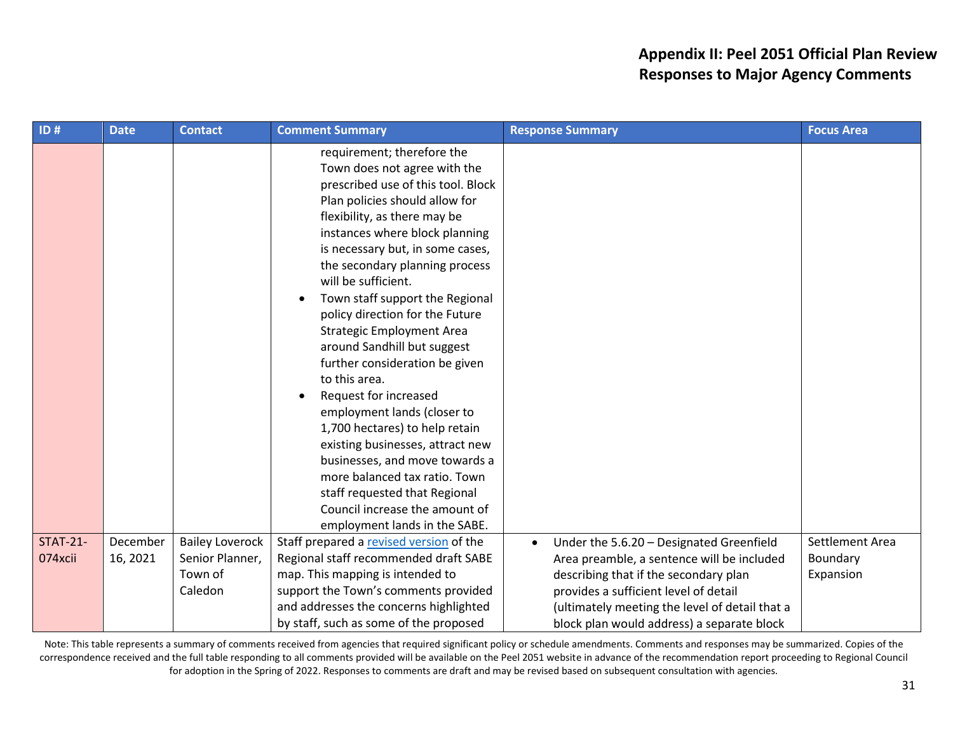## **Appendix II: Peel 2051 Official Plan Review Responses to Major Agency Comments**

| ID#                        | <b>Date</b>          | <b>Contact</b>                                                  | <b>Comment Summary</b>                                                                                                                                                                                                                                                                                                                                                                                                                                                                                                                                                                                                                                                                                                                                                                                      | <b>Response Summary</b>                                                                                                                                                                                                                                                               | <b>Focus Area</b>                        |
|----------------------------|----------------------|-----------------------------------------------------------------|-------------------------------------------------------------------------------------------------------------------------------------------------------------------------------------------------------------------------------------------------------------------------------------------------------------------------------------------------------------------------------------------------------------------------------------------------------------------------------------------------------------------------------------------------------------------------------------------------------------------------------------------------------------------------------------------------------------------------------------------------------------------------------------------------------------|---------------------------------------------------------------------------------------------------------------------------------------------------------------------------------------------------------------------------------------------------------------------------------------|------------------------------------------|
|                            |                      |                                                                 | requirement; therefore the<br>Town does not agree with the<br>prescribed use of this tool. Block<br>Plan policies should allow for<br>flexibility, as there may be<br>instances where block planning<br>is necessary but, in some cases,<br>the secondary planning process<br>will be sufficient.<br>Town staff support the Regional<br>$\bullet$<br>policy direction for the Future<br>Strategic Employment A<br>around Sandhill but sugge t<br>further consideration be glen<br>to this area.<br>Request for<br>crease<br>$\bullet$<br>employmer ands<br>$r_{\text{mearto}}$<br>1,700 hectares<br>help retain<br>iness attract new<br>exi<br>sinesses, a vi mou towards a<br>re balanced tax ratio. Town<br>stake equeste that Regional<br>Council and ase the amount of<br>employment lands in the SABE. |                                                                                                                                                                                                                                                                                       |                                          |
| <b>STAT-21-</b><br>074xcii | December<br>16, 2021 | <b>Bailey Loverock</b><br>Senior Planner,<br>Town of<br>Caledon | Staff prepared a revised version of the<br>Regional staff recommended draft SABE<br>map. This mapping is intended to<br>support the Town's comments provided<br>and addresses the concerns highlighted<br>by staff, such as some of the proposed                                                                                                                                                                                                                                                                                                                                                                                                                                                                                                                                                            | Under the 5.6.20 - Designated Greenfield<br>$\bullet$<br>Area preamble, a sentence will be included<br>describing that if the secondary plan<br>provides a sufficient level of detail<br>(ultimately meeting the level of detail that a<br>block plan would address) a separate block | Settlement Area<br>Boundary<br>Expansion |

Note: This table represents a summary of comments received from agencies that required significant policy or schedule amendments. Comments and responses may be summarized. Copies of the correspondence received and the full table responding to all comments provided will be available on the Peel 2051 website in advance of the recommendation report proceeding to Regional Council for adoption in the Spring of 2022. Responses to comments are draft and may be revised based on subsequent consultation with agencies.